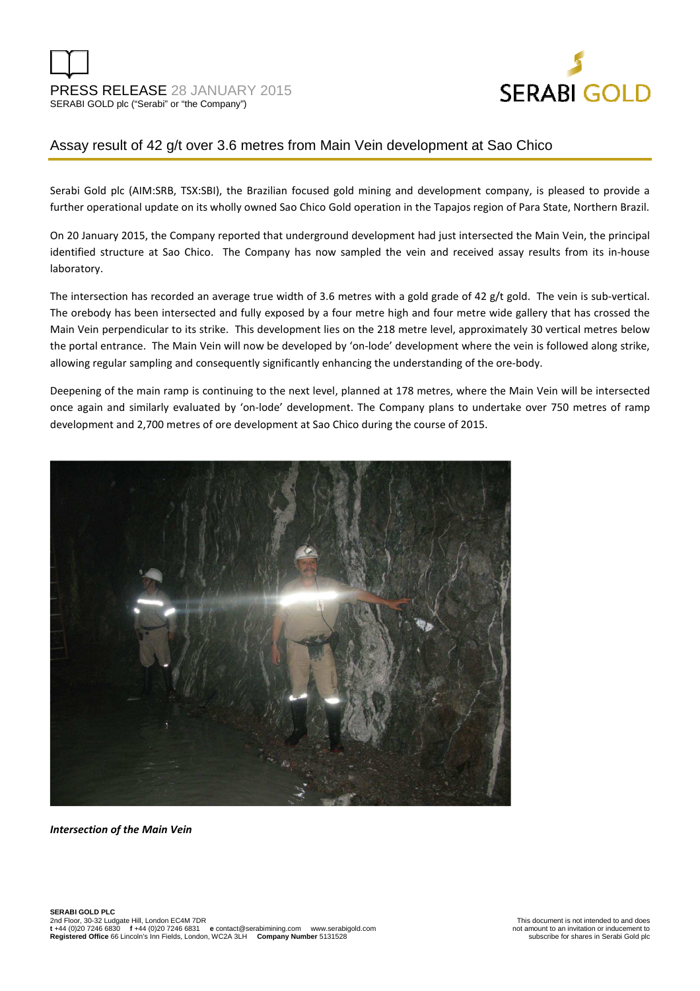

# Assay result of 42 g/t over 3.6 metres from Main Vein development at Sao Chico

Serabi Gold plc (AIM:SRB, TSX:SBI), the Brazilian focused gold mining and development company, is pleased to provide a further operational update on its wholly owned Sao Chico Gold operation in the Tapajos region of Para State, Northern Brazil.

On 20 January 2015, the Company reported that underground development had just intersected the Main Vein, the principal identified structure at Sao Chico. The Company has now sampled the vein and received assay results from its in-house laboratory.

The intersection has recorded an average true width of 3.6 metres with a gold grade of 42 g/t gold. The vein is sub-vertical. The orebody has been intersected and fully exposed by a four metre high and four metre wide gallery that has crossed the Main Vein perpendicular to its strike. This development lies on the 218 metre level, approximately 30 vertical metres below the portal entrance. The Main Vein will now be developed by 'on-lode' development where the vein is followed along strike, allowing regular sampling and consequently significantly enhancing the understanding of the ore-body.

Deepening of the main ramp is continuing to the next level, planned at 178 metres, where the Main Vein will be intersected once again and similarly evaluated by 'on-lode' development. The Company plans to undertake over 750 metres of ramp development and 2,700 metres of ore development at Sao Chico during the course of 2015.



*Intersection of the Main Vein*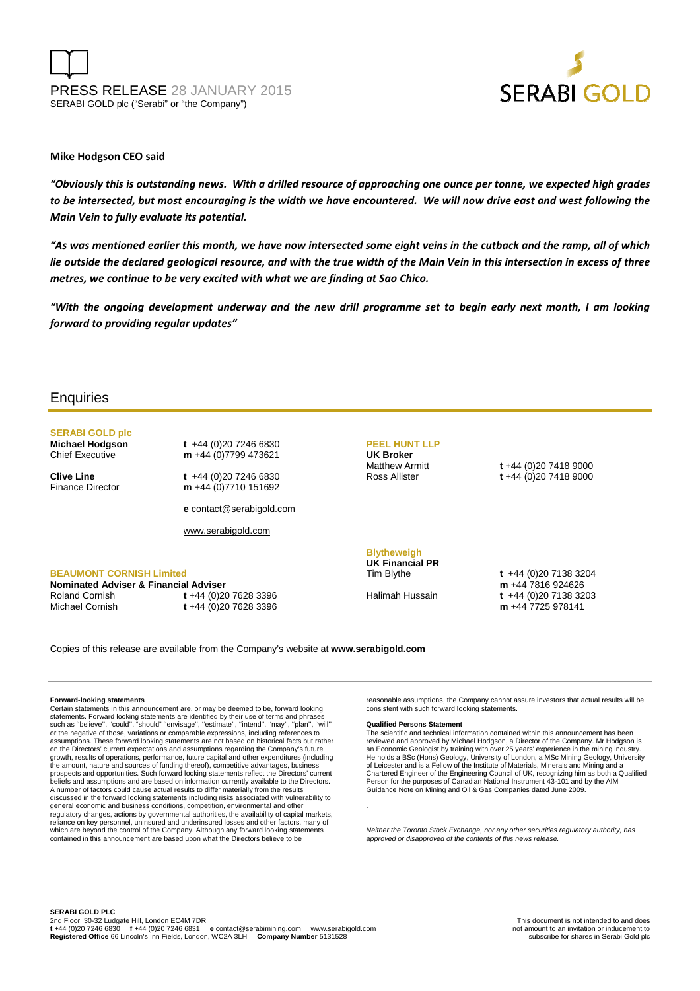PRESS RELEASE 28 JANUARY 2015 SERABI GOLD plc ("Serabi" or "the Company")



#### **Mike Hodgson CEO said**

*"Obviously this is outstanding news. With a drilled resource of approaching one ounce per tonne, we expected high grades to be intersected, but most encouraging is the width we have encountered. We will now drive east and west following the Main Vein to fully evaluate its potential.* 

*"As was mentioned earlier this month, we have now intersected some eight veins in the cutback and the ramp, all of which lie outside the declared geological resource, and with the true width of the Main Vein in this intersection in excess of three metres, we continue to be very excited with what we are finding at Sao Chico.* 

*"With the ongoing development underway and the new drill programme set to begin early next month, I am looking forward to providing regular updates"*

## **Enquiries**

# **SERABI GOLD plc**

**Michael Hodgson t** +44 (0)20 7246 6830<br>Chief Executive **m** +44 (0)7799 473621 m +44 (0)7799 473621

**Clive Line** t +44 (0)20 7246 6830 Finance Director **m** +44 (0)7710 151692

**e** contact@serabigold.com

www.serabigold.com

#### **BEAUMONT CORNISH Limited**

**Nominated Adviser & Financial Adviser**  Roland Cornish **t** +44 (0)20 7628 3396 Michael Cornish **t** +44 (0)20 7628 3396

**PEEL HUNT LLP UK Broker**

Matthew Armitt **t** +44 (0)20 7418 9000 Ross Allister **t** +44 (0)20 7418 9000

### **Blytheweigh**

**UK Financial PR** 

Tim Blythe **t** +44 (0)20 7138 3204 **m** +44 7816 924626 Halimah Hussain **t** +44 (0)20 7138 3203 **m** +44 7725 978141

Copies of this release are available from the Company's website at **www.serabigold.com** 

#### **Forward-looking statements**

Certain statements in this announcement are, or may be deemed to be, forward looking<br>statements. Forward looking statements are identified by their use of terms and phrases<br>such as "believe", "could", "should" "envisage", or the negative of those, variations or comparable expressions, including references to assumptions. These forward looking statements are not based on historical facts but rather on the Directors' current expectations and assumptions regarding the Company's future growth, results of operations, performance, future capital and other expenditures (including the amount, nature and sources of funding thereof), competitive advantages, business prospects and opportunities. Such forward looking statements reflect the Directors' current beliefs and assumptions and are based on information currently available to the Directors. A number of factors could cause actual results to differ materially from the results discussed in the forward looking statements including risks associated with vulnerability to general economic and business conditions, competition, environmental and other regulatory changes, actions by governmental authorities, the availability of capital markets, reliance on key personnel, uninsured and underinsured losses and other factors, many of which are beyond the control of the Company. Although any forward looking statements contained in this announcement are based upon what the Directors believe to be

reasonable assumptions, the Company cannot assure investors that actual results will be consistent with such forward looking statements.

#### **Qualified Persons Statement**

.

The scientific and technical information contained within this announcement has been reviewed and approved by Michael Hodgson, a Director of the Company. Mr Hodgson is an Economic Geologist by training with over 25 years' experience in the mining industry.<br>He holds a BSc (Hons) Geology, University of London, a MSc Mining Geology, University<br>of Leicester and is a Fellow of the Institute o Person for the purposes of Canadian National Instrument 43-101 and by the AIM Guidance Note on Mining and Oil & Gas Companies dated June 2009.

Neither the Toronto Stock Exchange, nor any other securities regulatory authority, has approved or disapproved of the contents of this news release.